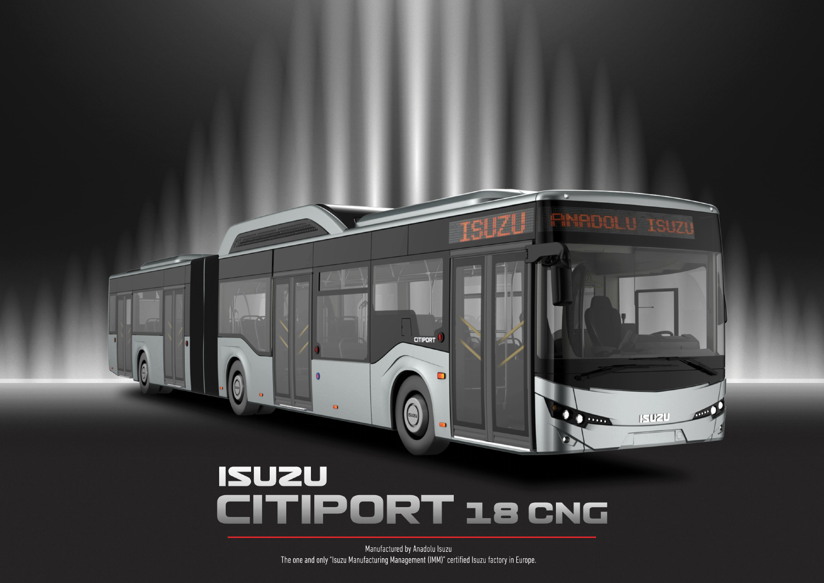

o

# **ISUZU** CITIPORT 18 CNG

Manufactured by Anadolu Isuzu The one and only "Isuzu Manufacturing Management (IMM)" certified Isuzu factory in Europe.